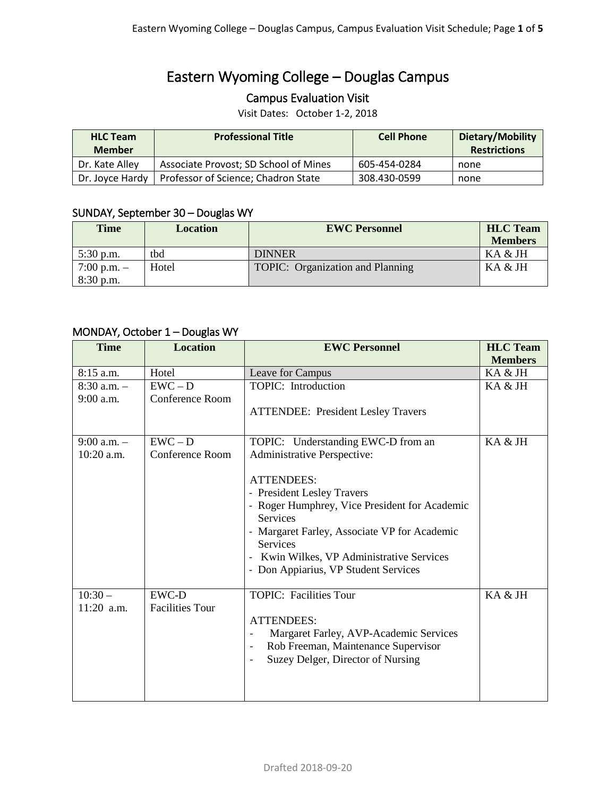# Eastern Wyoming College – Douglas Campus

### Campus Evaluation Visit

Visit Dates: October 1-2, 2018

| <b>HLC Team</b><br><b>Member</b> | <b>Professional Title</b>             | <b>Cell Phone</b> | Dietary/Mobility<br><b>Restrictions</b> |
|----------------------------------|---------------------------------------|-------------------|-----------------------------------------|
| Dr. Kate Alley                   | Associate Provost; SD School of Mines | 605-454-0284      | none                                    |
| Dr. Jovce Hardy                  | Professor of Science; Chadron State   | 308.430-0599      | none                                    |

#### SUNDAY, September 30 – Douglas WY

| <b>Time</b>     | Location | <b>EWC Personnel</b>             | <b>HLC</b> Team |
|-----------------|----------|----------------------------------|-----------------|
|                 |          |                                  | <b>Members</b>  |
| $5:30$ p.m.     | tbd      | <b>DINNER</b>                    | KA & JH         |
| $7:00$ p.m. $-$ | Hotel    | TOPIC: Organization and Planning | KA & JH         |
| $8:30$ p.m.     |          |                                  |                 |

#### MONDAY, October 1 – Douglas WY

| <b>Time</b>                    | <b>Location</b>              | <b>EWC Personnel</b>                                                                                                      | <b>HLC</b> Team<br><b>Members</b> |
|--------------------------------|------------------------------|---------------------------------------------------------------------------------------------------------------------------|-----------------------------------|
| 8:15 a.m.                      | Hotel                        | Leave for Campus                                                                                                          | KA & JH                           |
| $8:30$ a.m. $-$<br>$9:00$ a.m. | $EWC - D$<br>Conference Room | TOPIC: Introduction                                                                                                       | KA & JH                           |
|                                |                              | <b>ATTENDEE: President Lesley Travers</b>                                                                                 |                                   |
| $9:00$ a.m. $-$                | $EWC - D$                    | TOPIC: Understanding EWC-D from an                                                                                        | KA & JH                           |
| 10:20 a.m.                     | Conference Room              | Administrative Perspective:                                                                                               |                                   |
|                                |                              | <b>ATTENDEES:</b>                                                                                                         |                                   |
|                                |                              | - President Lesley Travers                                                                                                |                                   |
|                                |                              | - Roger Humphrey, Vice President for Academic<br>Services                                                                 |                                   |
|                                |                              | - Margaret Farley, Associate VP for Academic<br>Services                                                                  |                                   |
|                                |                              | Kwin Wilkes, VP Administrative Services                                                                                   |                                   |
|                                |                              | - Don Appiarius, VP Student Services                                                                                      |                                   |
| $10:30-$                       | EWC-D                        | <b>TOPIC: Facilities Tour</b>                                                                                             | KA & JH                           |
| 11:20 a.m.                     | <b>Facilities Tour</b>       |                                                                                                                           |                                   |
|                                |                              | <b>ATTENDEES:</b>                                                                                                         |                                   |
|                                |                              | Margaret Farley, AVP-Academic Services<br>$\overline{\phantom{a}}$                                                        |                                   |
|                                |                              | Rob Freeman, Maintenance Supervisor<br>$\qquad \qquad -$<br>Suzey Delger, Director of Nursing<br>$\overline{\phantom{a}}$ |                                   |
|                                |                              |                                                                                                                           |                                   |
|                                |                              |                                                                                                                           |                                   |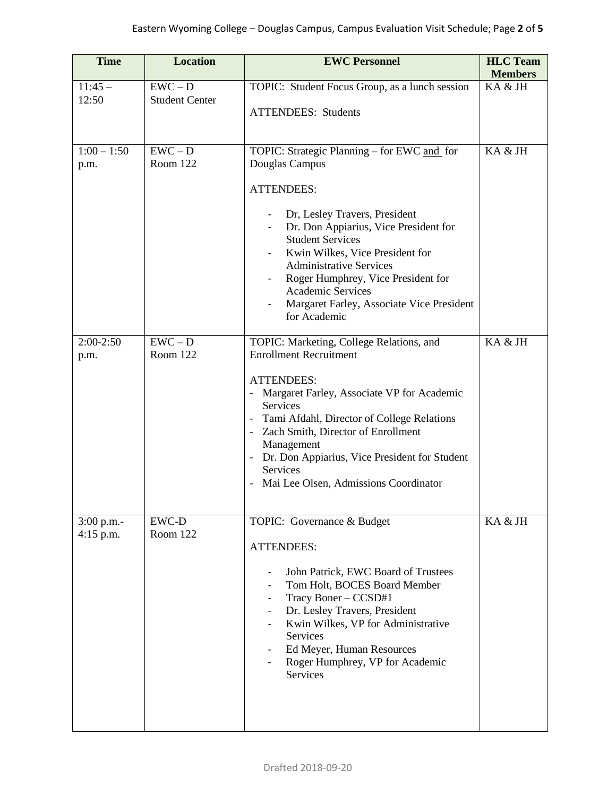| <b>Time</b>                 | <b>Location</b>                    | <b>EWC Personnel</b>                                                                                                                                                                                                                                                                                                                                                                        | <b>HLC</b> Team<br><b>Members</b> |
|-----------------------------|------------------------------------|---------------------------------------------------------------------------------------------------------------------------------------------------------------------------------------------------------------------------------------------------------------------------------------------------------------------------------------------------------------------------------------------|-----------------------------------|
| $11:45-$<br>12:50           | $EWC - D$<br><b>Student Center</b> | TOPIC: Student Focus Group, as a lunch session<br><b>ATTENDEES:</b> Students                                                                                                                                                                                                                                                                                                                | KA & JH                           |
| $1:00 - 1:50$<br>p.m.       | $EWC - D$<br>Room 122              | TOPIC: Strategic Planning - for EWC and for<br>Douglas Campus<br><b>ATTENDEES:</b><br>Dr, Lesley Travers, President<br>Dr. Don Appiarius, Vice President for<br><b>Student Services</b><br>Kwin Wilkes, Vice President for<br><b>Administrative Services</b><br>Roger Humphrey, Vice President for<br><b>Academic Services</b><br>Margaret Farley, Associate Vice President<br>for Academic | KA & JH                           |
| $2:00-2:50$<br>p.m.         | $EWC - D$<br>Room 122              | TOPIC: Marketing, College Relations, and<br><b>Enrollment Recruitment</b><br><b>ATTENDEES:</b><br>- Margaret Farley, Associate VP for Academic<br>Services<br>Tami Afdahl, Director of College Relations<br>- Zach Smith, Director of Enrollment<br>Management<br>- Dr. Don Appiarius, Vice President for Student<br>Services<br>Mai Lee Olsen, Admissions Coordinator                      | KA & JH                           |
| $3:00$ p.m.-<br>$4:15$ p.m. | <b>EWC-D</b><br>Room 122           | TOPIC: Governance & Budget<br><b>ATTENDEES:</b><br>John Patrick, EWC Board of Trustees<br>Tom Holt, BOCES Board Member<br>Tracy Boner - CCSD#1<br>$\overline{\phantom{0}}$<br>Dr. Lesley Travers, President<br>Kwin Wilkes, VP for Administrative<br>$\overline{\phantom{a}}$<br>Services<br>Ed Meyer, Human Resources<br>Roger Humphrey, VP for Academic<br>Services                       | KA & JH                           |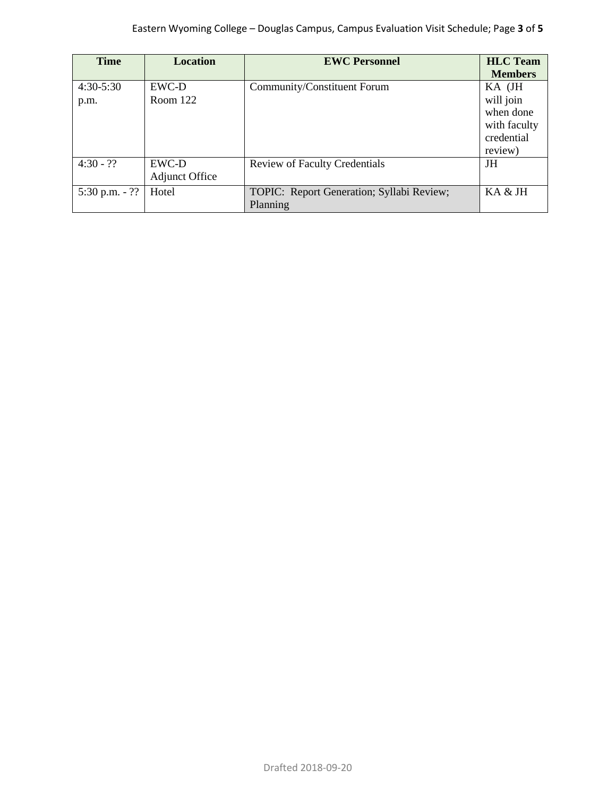| <b>Time</b>      | <b>Location</b>       | <b>EWC Personnel</b>                      | <b>HLC</b> Team |
|------------------|-----------------------|-------------------------------------------|-----------------|
|                  |                       |                                           | <b>Members</b>  |
| $4:30-5:30$      | EWC-D                 | Community/Constituent Forum               | KA (JH          |
| p.m.             | Room 122              |                                           | will join       |
|                  |                       |                                           | when done       |
|                  |                       |                                           | with faculty    |
|                  |                       |                                           | credential      |
|                  |                       |                                           | review)         |
| $4:30 - ??$      | EWC-D                 | <b>Review of Faculty Credentials</b>      | JH              |
|                  | <b>Adjunct Office</b> |                                           |                 |
| 5:30 p.m. $-$ ?? | Hotel                 | TOPIC: Report Generation; Syllabi Review; | KA & JH         |
|                  |                       | Planning                                  |                 |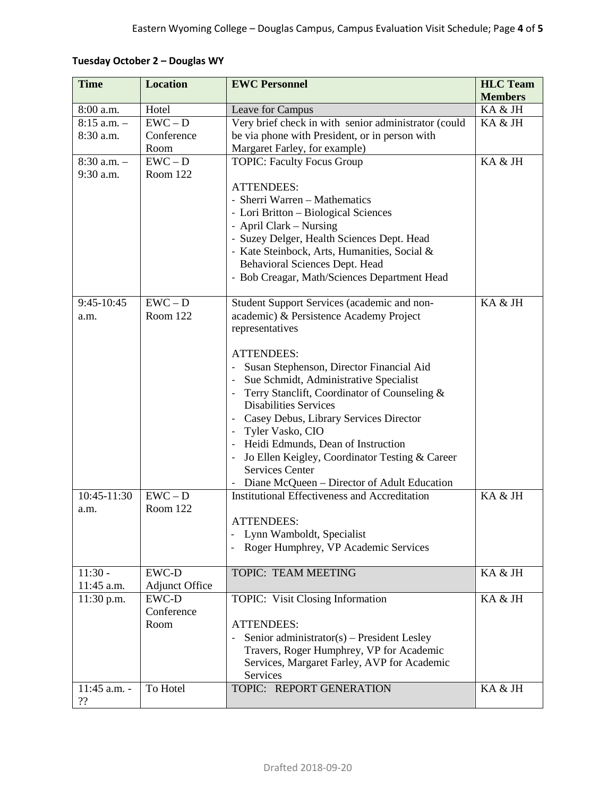|  |  | Tuesday October 2 - Douglas WY |  |
|--|--|--------------------------------|--|
|--|--|--------------------------------|--|

| <b>Time</b>     | <b>Location</b>       | <b>EWC Personnel</b>                                                       | <b>HLC</b> Team<br><b>Members</b> |
|-----------------|-----------------------|----------------------------------------------------------------------------|-----------------------------------|
| 8:00 a.m.       | Hotel                 | Leave for Campus                                                           | KA & JH                           |
| $8:15$ a.m. $-$ | $EWC - D$             | Very brief check in with senior administrator (could                       | KA & JH                           |
| 8:30 a.m.       | Conference            | be via phone with President, or in person with                             |                                   |
|                 | Room                  | Margaret Farley, for example)                                              |                                   |
| $8:30$ a.m. $-$ | $EWC - D$             | <b>TOPIC: Faculty Focus Group</b>                                          | KA & JH                           |
| 9:30 a.m.       | Room 122              |                                                                            |                                   |
|                 |                       | <b>ATTENDEES:</b>                                                          |                                   |
|                 |                       | - Sherri Warren - Mathematics                                              |                                   |
|                 |                       | - Lori Britton - Biological Sciences                                       |                                   |
|                 |                       | - April Clark – Nursing                                                    |                                   |
|                 |                       | - Suzey Delger, Health Sciences Dept. Head                                 |                                   |
|                 |                       | - Kate Steinbock, Arts, Humanities, Social &                               |                                   |
|                 |                       | Behavioral Sciences Dept. Head                                             |                                   |
|                 |                       | - Bob Creagar, Math/Sciences Department Head                               |                                   |
|                 |                       |                                                                            |                                   |
| 9:45-10:45      | $EWC - D$             | Student Support Services (academic and non-                                | KA & JH                           |
| a.m.            | Room 122              | academic) & Persistence Academy Project                                    |                                   |
|                 |                       | representatives                                                            |                                   |
|                 |                       | <b>ATTENDEES:</b>                                                          |                                   |
|                 |                       | Susan Stephenson, Director Financial Aid<br>$\overline{\phantom{a}}$       |                                   |
|                 |                       | Sue Schmidt, Administrative Specialist<br>$\overline{\phantom{a}}$         |                                   |
|                 |                       | Terry Stanclift, Coordinator of Counseling &                               |                                   |
|                 |                       | <b>Disabilities Services</b>                                               |                                   |
|                 |                       | Casey Debus, Library Services Director                                     |                                   |
|                 |                       | Tyler Vasko, CIO                                                           |                                   |
|                 |                       | Heidi Edmunds, Dean of Instruction                                         |                                   |
|                 |                       | Jo Ellen Keigley, Coordinator Testing & Career                             |                                   |
|                 |                       | <b>Services Center</b>                                                     |                                   |
|                 |                       | Diane McQueen - Director of Adult Education                                |                                   |
| 10:45-11:30     | $\overline{EWC - D}$  | <b>Institutional Effectiveness and Accreditation</b>                       | KA & JH                           |
| a.m.            | Room 122              |                                                                            |                                   |
|                 |                       | <b>ATTENDEES:</b>                                                          |                                   |
|                 |                       | Lynn Wamboldt, Specialist                                                  |                                   |
|                 |                       | Roger Humphrey, VP Academic Services                                       |                                   |
| $11:30 -$       | <b>EWC-D</b>          | <b>TOPIC: TEAM MEETING</b>                                                 | KA & JH                           |
| 11:45 a.m.      | <b>Adjunct Office</b> |                                                                            |                                   |
| 11:30 p.m.      | <b>EWC-D</b>          | TOPIC: Visit Closing Information                                           | KA & JH                           |
|                 | Conference            |                                                                            |                                   |
|                 | Room                  | <b>ATTENDEES:</b>                                                          |                                   |
|                 |                       | Senior administrator(s) – President Lesley<br>$\qquad \qquad \blacksquare$ |                                   |
|                 |                       | Travers, Roger Humphrey, VP for Academic                                   |                                   |
|                 |                       | Services, Margaret Farley, AVP for Academic                                |                                   |
|                 |                       | Services                                                                   |                                   |
| 11:45 a.m. -    | To Hotel              | TOPIC: REPORT GENERATION                                                   | KA & JH                           |
| ??              |                       |                                                                            |                                   |